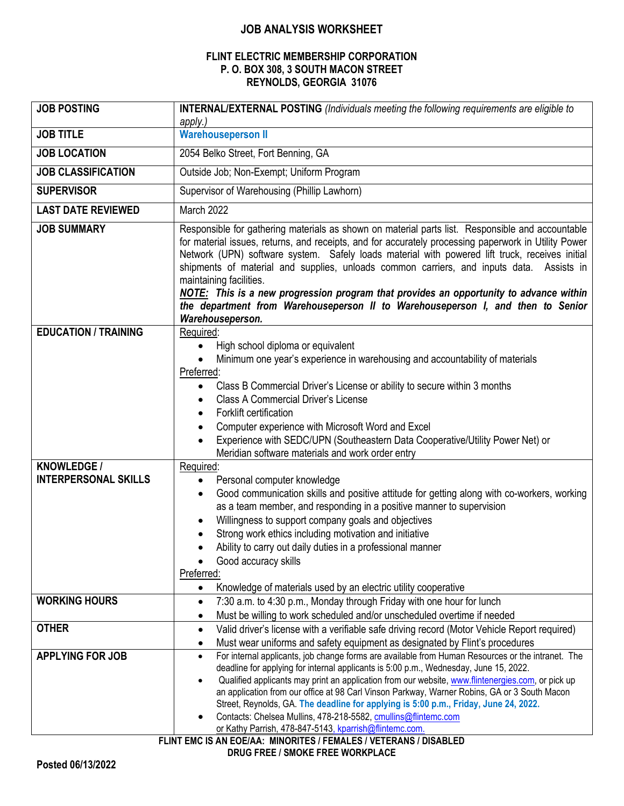## **JOB ANALYSIS WORKSHEET**

## **FLINT ELECTRIC MEMBERSHIP CORPORATION P. O. BOX 308, 3 SOUTH MACON STREET REYNOLDS, GEORGIA 31076**

| <b>JOB POSTING</b>          | <b>INTERNAL/EXTERNAL POSTING</b> (Individuals meeting the following requirements are eligible to<br>apply.)                                                                                                                                                                                                                                                                                                                                                                                                                    |
|-----------------------------|--------------------------------------------------------------------------------------------------------------------------------------------------------------------------------------------------------------------------------------------------------------------------------------------------------------------------------------------------------------------------------------------------------------------------------------------------------------------------------------------------------------------------------|
| <b>JOB TITLE</b>            | <b>Warehouseperson II</b>                                                                                                                                                                                                                                                                                                                                                                                                                                                                                                      |
| <b>JOB LOCATION</b>         | 2054 Belko Street, Fort Benning, GA                                                                                                                                                                                                                                                                                                                                                                                                                                                                                            |
| <b>JOB CLASSIFICATION</b>   | Outside Job; Non-Exempt; Uniform Program                                                                                                                                                                                                                                                                                                                                                                                                                                                                                       |
| <b>SUPERVISOR</b>           | Supervisor of Warehousing (Phillip Lawhorn)                                                                                                                                                                                                                                                                                                                                                                                                                                                                                    |
| <b>LAST DATE REVIEWED</b>   | March 2022                                                                                                                                                                                                                                                                                                                                                                                                                                                                                                                     |
| <b>JOB SUMMARY</b>          | Responsible for gathering materials as shown on material parts list. Responsible and accountable                                                                                                                                                                                                                                                                                                                                                                                                                               |
|                             | for material issues, returns, and receipts, and for accurately processing paperwork in Utility Power<br>Network (UPN) software system. Safely loads material with powered lift truck, receives initial<br>shipments of material and supplies, unloads common carriers, and inputs data. Assists in<br>maintaining facilities.<br>NOTE: This is a new progression program that provides an opportunity to advance within<br>the department from Warehouseperson II to Warehouseperson I, and then to Senior<br>Warehouseperson. |
| <b>EDUCATION / TRAINING</b> | Required:                                                                                                                                                                                                                                                                                                                                                                                                                                                                                                                      |
|                             | High school diploma or equivalent<br>$\bullet$                                                                                                                                                                                                                                                                                                                                                                                                                                                                                 |
|                             | Minimum one year's experience in warehousing and accountability of materials<br>Preferred:                                                                                                                                                                                                                                                                                                                                                                                                                                     |
|                             | Class B Commercial Driver's License or ability to secure within 3 months<br>$\bullet$                                                                                                                                                                                                                                                                                                                                                                                                                                          |
|                             | <b>Class A Commercial Driver's License</b><br>$\bullet$                                                                                                                                                                                                                                                                                                                                                                                                                                                                        |
|                             | Forklift certification<br>$\bullet$                                                                                                                                                                                                                                                                                                                                                                                                                                                                                            |
|                             | Computer experience with Microsoft Word and Excel                                                                                                                                                                                                                                                                                                                                                                                                                                                                              |
|                             | Experience with SEDC/UPN (Southeastern Data Cooperative/Utility Power Net) or<br>Meridian software materials and work order entry                                                                                                                                                                                                                                                                                                                                                                                              |
| <b>KNOWLEDGE /</b>          | Required:                                                                                                                                                                                                                                                                                                                                                                                                                                                                                                                      |
| <b>INTERPERSONAL SKILLS</b> | Personal computer knowledge<br>$\bullet$                                                                                                                                                                                                                                                                                                                                                                                                                                                                                       |
|                             | Good communication skills and positive attitude for getting along with co-workers, working<br>$\bullet$                                                                                                                                                                                                                                                                                                                                                                                                                        |
|                             | as a team member, and responding in a positive manner to supervision                                                                                                                                                                                                                                                                                                                                                                                                                                                           |
|                             | Willingness to support company goals and objectives<br>$\bullet$<br>Strong work ethics including motivation and initiative                                                                                                                                                                                                                                                                                                                                                                                                     |
|                             | $\bullet$<br>Ability to carry out daily duties in a professional manner                                                                                                                                                                                                                                                                                                                                                                                                                                                        |
|                             | Good accuracy skills                                                                                                                                                                                                                                                                                                                                                                                                                                                                                                           |
|                             | Preferred:                                                                                                                                                                                                                                                                                                                                                                                                                                                                                                                     |
|                             | Knowledge of materials used by an electric utility cooperative<br>$\bullet$                                                                                                                                                                                                                                                                                                                                                                                                                                                    |
| <b>WORKING HOURS</b>        | 7:30 a.m. to 4:30 p.m., Monday through Friday with one hour for lunch<br>$\bullet$                                                                                                                                                                                                                                                                                                                                                                                                                                             |
|                             | Must be willing to work scheduled and/or unscheduled overtime if needed<br>$\bullet$                                                                                                                                                                                                                                                                                                                                                                                                                                           |
| <b>OTHER</b>                | Valid driver's license with a verifiable safe driving record (Motor Vehicle Report required)<br>$\bullet$                                                                                                                                                                                                                                                                                                                                                                                                                      |
| <b>APPLYING FOR JOB</b>     | Must wear uniforms and safety equipment as designated by Flint's procedures<br>$\bullet$                                                                                                                                                                                                                                                                                                                                                                                                                                       |
|                             | For internal applicants, job change forms are available from Human Resources or the intranet. The<br>$\bullet$<br>deadline for applying for internal applicants is 5:00 p.m., Wednesday, June 15, 2022.                                                                                                                                                                                                                                                                                                                        |
|                             | Qualified applicants may print an application from our website, www.flintenergies.com, or pick up<br>$\bullet$                                                                                                                                                                                                                                                                                                                                                                                                                 |
|                             | an application from our office at 98 Carl Vinson Parkway, Warner Robins, GA or 3 South Macon                                                                                                                                                                                                                                                                                                                                                                                                                                   |
|                             | Street, Reynolds, GA. The deadline for applying is 5:00 p.m., Friday, June 24, 2022.<br>Contacts: Chelsea Mullins, 478-218-5582, cmullins@flintemc.com                                                                                                                                                                                                                                                                                                                                                                         |
|                             | or Kathy Parrish, 478-847-5143, kparrish@flintemc.com.                                                                                                                                                                                                                                                                                                                                                                                                                                                                         |
|                             | ELINT EMC IS AN EOEIAA · MINODITES / EEMALES / VETEDANS / DISADI ED                                                                                                                                                                                                                                                                                                                                                                                                                                                            |

**FLINT EMC IS AN EOE/AA: MINORITES / FEMALES / VETERANS / DISABLED**